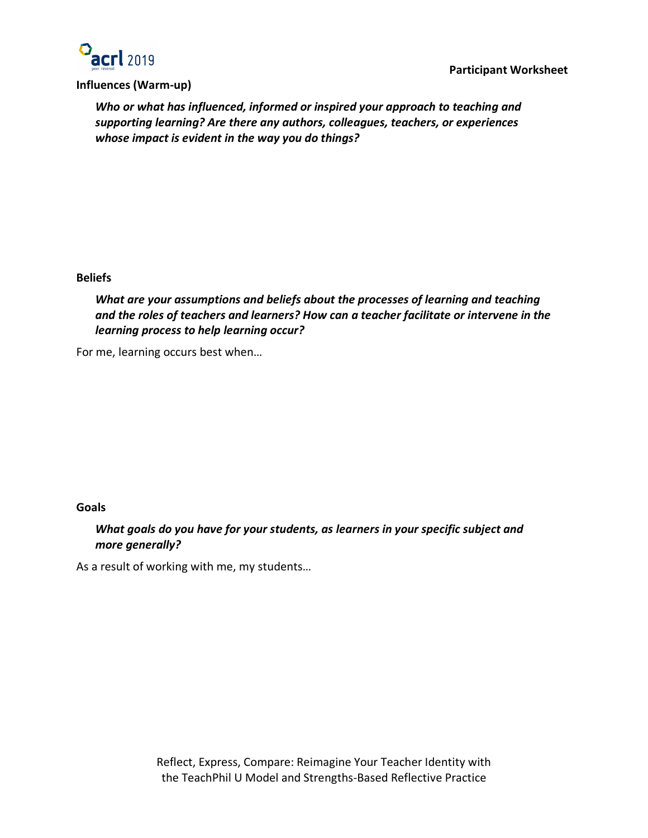

## **Influences (Warm-up)**

*Who or what has influenced, informed or inspired your approach to teaching and supporting learning? Are there any authors, colleagues, teachers, or experiences whose impact is evident in the way you do things?*

## **Beliefs**

*What are your assumptions and beliefs about the processes of learning and teaching and the roles of teachers and learners? How can a teacher facilitate or intervene in the learning process to help learning occur?*

For me, learning occurs best when…

## **Goals**

*What goals do you have for your students, as learners in your specific subject and more generally?*

As a result of working with me, my students…